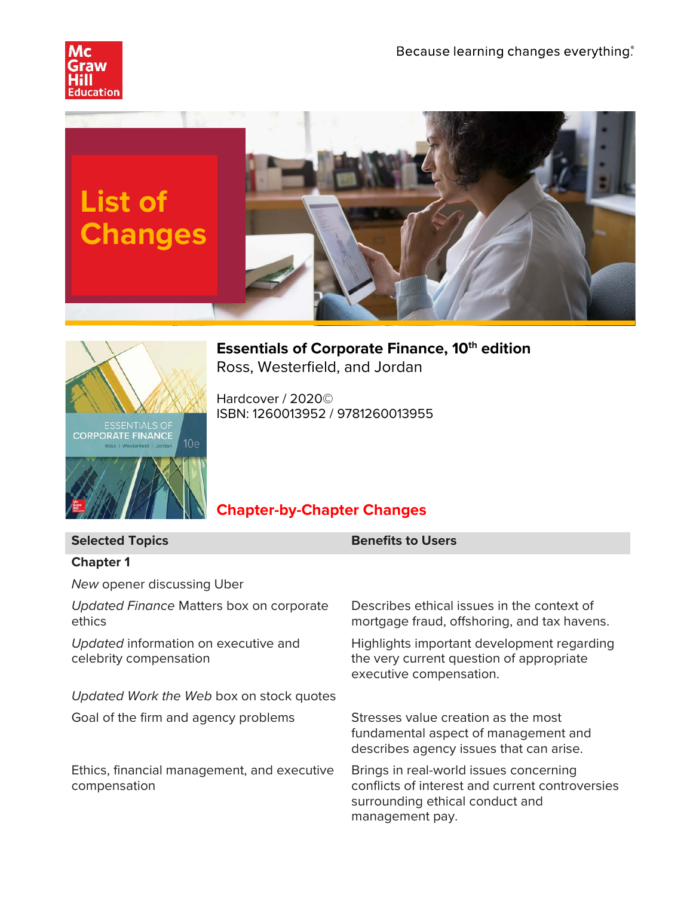





**Essentials of Corporate Finance, 10th edition** Ross, Westerfield, and Jordan

Hardcover / 2020© ISBN: 1260013952 / 9781260013955

# **Chapter-by-Chapter Changes**

| <b>Selected Topics</b>                                         | <b>Benefits to Users</b>                                                                                                                        |
|----------------------------------------------------------------|-------------------------------------------------------------------------------------------------------------------------------------------------|
| <b>Chapter 1</b>                                               |                                                                                                                                                 |
| New opener discussing Uber                                     |                                                                                                                                                 |
| Updated Finance Matters box on corporate<br>ethics             | Describes ethical issues in the context of<br>mortgage fraud, offshoring, and tax havens.                                                       |
| Updated information on executive and<br>celebrity compensation | Highlights important development regarding<br>the very current question of appropriate<br>executive compensation.                               |
| Updated Work the Web box on stock quotes                       |                                                                                                                                                 |
| Goal of the firm and agency problems                           | Stresses value creation as the most<br>fundamental aspect of management and<br>describes agency issues that can arise.                          |
| Ethics, financial management, and executive<br>compensation    | Brings in real-world issues concerning<br>conflicts of interest and current controversies<br>surrounding ethical conduct and<br>management pay. |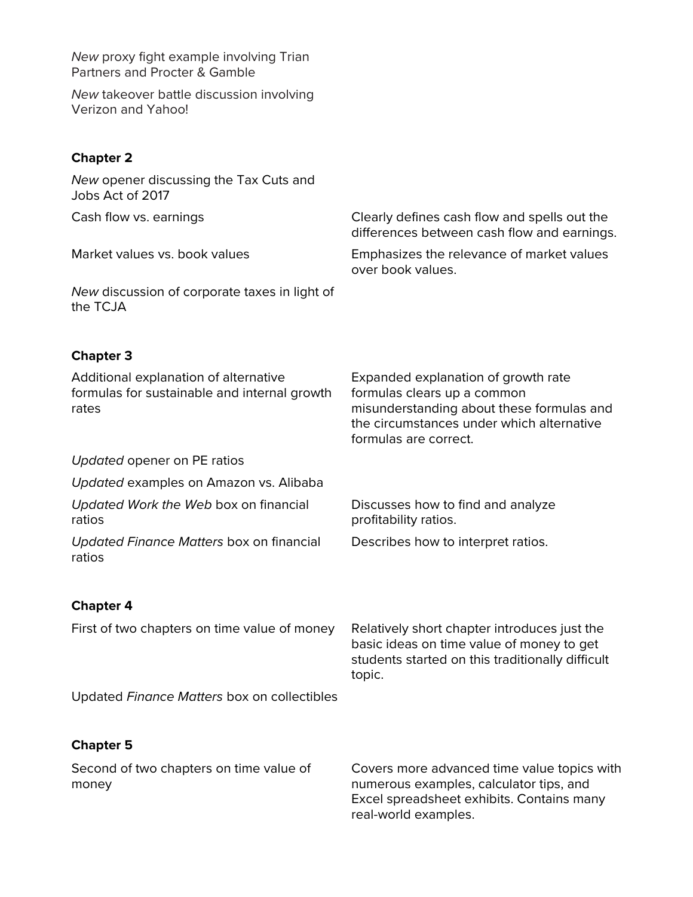*New* proxy fight example involving Trian Partners and Procter & Gamble

*New* takeover battle discussion involving Verizon and Yahoo!

## **Chapter 2**

| New opener discussing the Tax Cuts and<br>Jobs Act of 2017                                     |                                                                                                                                                                                       |
|------------------------------------------------------------------------------------------------|---------------------------------------------------------------------------------------------------------------------------------------------------------------------------------------|
| Cash flow vs. earnings                                                                         | Clearly defines cash flow and spells out the<br>differences between cash flow and earnings.                                                                                           |
| Market values vs. book values                                                                  | Emphasizes the relevance of market values<br>over book values.                                                                                                                        |
| New discussion of corporate taxes in light of<br>the TCJA                                      |                                                                                                                                                                                       |
| <b>Chapter 3</b>                                                                               |                                                                                                                                                                                       |
| Additional explanation of alternative<br>formulas for sustainable and internal growth<br>rates | Expanded explanation of growth rate<br>formulas clears up a common<br>misunderstanding about these formulas and<br>the circumstances under which alternative<br>formulas are correct. |
| Updated opener on PE ratios                                                                    |                                                                                                                                                                                       |
| Updated examples on Amazon vs. Alibaba                                                         |                                                                                                                                                                                       |
| Updated Work the Web box on financial<br>ratios                                                | Discusses how to find and analyze<br>profitability ratios.                                                                                                                            |
| Updated Finance Matters box on financial<br>ratios                                             | Describes how to interpret ratios.                                                                                                                                                    |
| <b>Chapter 4</b>                                                                               |                                                                                                                                                                                       |
| First of two chapters on time value of money                                                   | Relatively short chapter introduces just the<br>basic ideas on time value of money to get<br>students started on this traditionally difficult<br>topic.                               |
| Updated Finance Matters box on collectibles                                                    |                                                                                                                                                                                       |
| <b>Chapter 5</b>                                                                               |                                                                                                                                                                                       |
| Second of two chapters on time value of<br>money                                               | Covers more advanced time value topics with<br>numerous examples, calculator tips, and<br>Excel spreadsheet exhibits. Contains many<br>real-world examples.                           |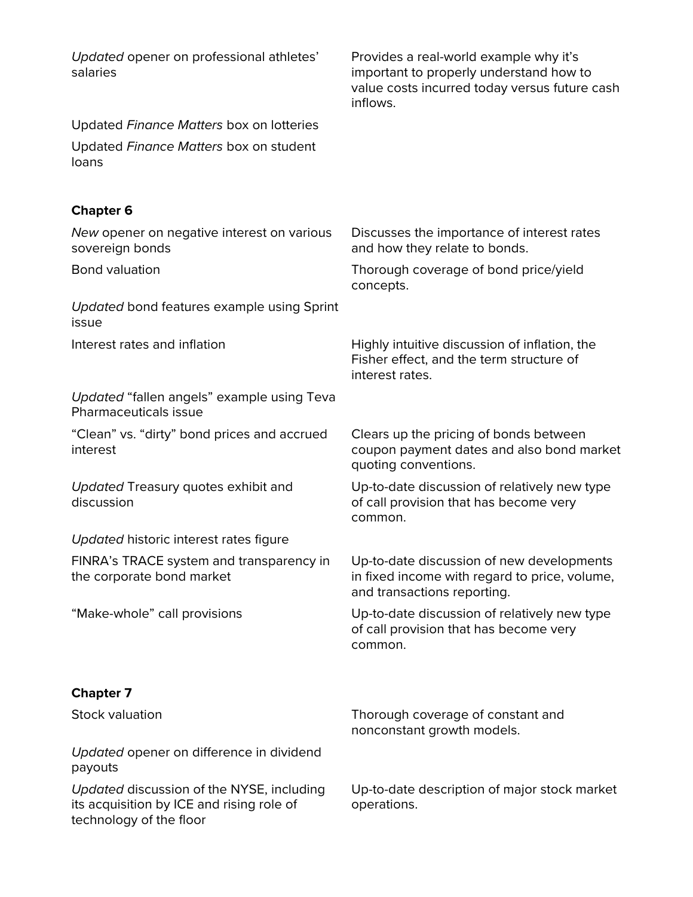| Updated opener on professional athletes'<br>salaries                                                              | Provides a real-world example why it's<br>important to properly understand how to<br>value costs incurred today versus future cash<br>inflows. |
|-------------------------------------------------------------------------------------------------------------------|------------------------------------------------------------------------------------------------------------------------------------------------|
| Updated Finance Matters box on lotteries                                                                          |                                                                                                                                                |
| Updated Finance Matters box on student<br>loans                                                                   |                                                                                                                                                |
| <b>Chapter 6</b>                                                                                                  |                                                                                                                                                |
| New opener on negative interest on various<br>sovereign bonds                                                     | Discusses the importance of interest rates<br>and how they relate to bonds.                                                                    |
| <b>Bond valuation</b>                                                                                             | Thorough coverage of bond price/yield<br>concepts.                                                                                             |
| Updated bond features example using Sprint<br>issue                                                               |                                                                                                                                                |
| Interest rates and inflation                                                                                      | Highly intuitive discussion of inflation, the<br>Fisher effect, and the term structure of<br>interest rates.                                   |
| Updated "fallen angels" example using Teva<br>Pharmaceuticals issue                                               |                                                                                                                                                |
| "Clean" vs. "dirty" bond prices and accrued<br>interest                                                           | Clears up the pricing of bonds between<br>coupon payment dates and also bond market<br>quoting conventions.                                    |
| Updated Treasury quotes exhibit and<br>discussion                                                                 | Up-to-date discussion of relatively new type<br>of call provision that has become very<br>common.                                              |
| Updated historic interest rates figure                                                                            |                                                                                                                                                |
| FINRA's TRACE system and transparency in<br>the corporate bond market                                             | Up-to-date discussion of new developments<br>in fixed income with regard to price, volume,<br>and transactions reporting.                      |
| "Make-whole" call provisions                                                                                      | Up-to-date discussion of relatively new type<br>of call provision that has become very<br>common.                                              |
| <b>Chapter 7</b>                                                                                                  |                                                                                                                                                |
| <b>Stock valuation</b>                                                                                            | Thorough coverage of constant and<br>nonconstant growth models.                                                                                |
| Updated opener on difference in dividend<br>payouts                                                               |                                                                                                                                                |
| Updated discussion of the NYSE, including<br>its acquisition by ICE and rising role of<br>technology of the floor | Up-to-date description of major stock market<br>operations.                                                                                    |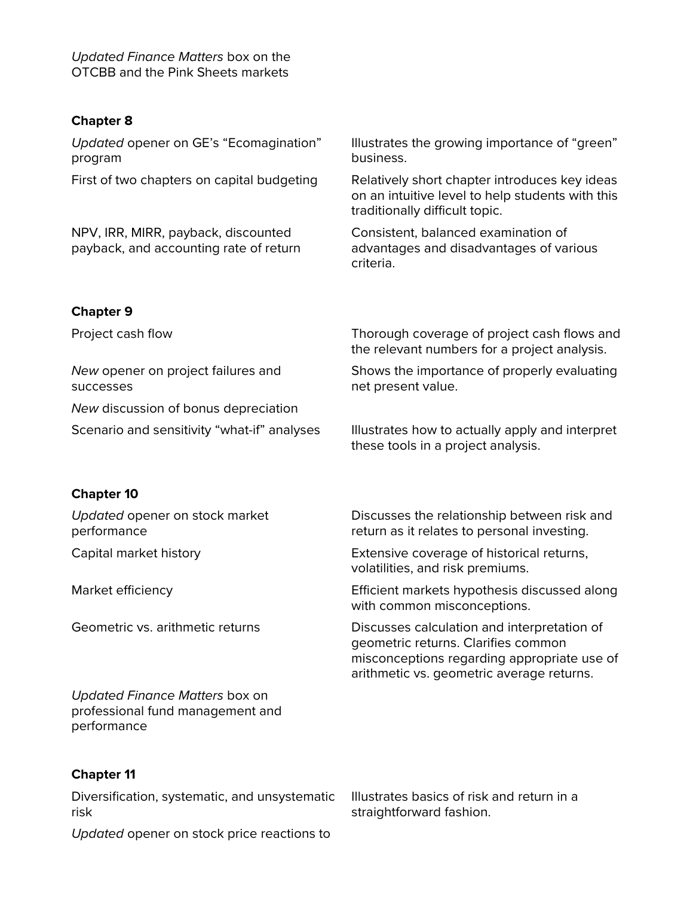*Updated Finance Matters* box on the OTCBB and the Pink Sheets markets

#### **Chapter 8**

*Updated* opener on GE's "Ecomagination" program Illustrates the growing importance of "green" business. First of two chapters on capital budgeting Relatively short chapter introduces key ideas on an intuitive level to help students with this traditionally difficult topic. NPV, IRR, MIRR, payback, discounted payback, and accounting rate of return Consistent, balanced examination of advantages and disadvantages of various criteria.

#### **Chapter 9**

*New* opener on project failures and successes

*New* discussion of bonus depreciation

Project cash flow Thorough coverage of project cash flows and the relevant numbers for a project analysis.

> Shows the importance of properly evaluating net present value.

Scenario and sensitivity "what-if" analyses Illustrates how to actually apply and interpret these tools in a project analysis.

### **Chapter 10**

*Updated* opener on stock market performance

*Updated Finance Matters* box on professional fund management and performance

### **Chapter 11**

Diversification, systematic, and unsystematic risk

*Updated* opener on stock price reactions to

Discusses the relationship between risk and return as it relates to personal investing.

Capital market history Extensive coverage of historical returns, volatilities, and risk premiums.

Market efficiency Efficient markets hypothesis discussed along with common misconceptions.

Geometric vs. arithmetic returns Discusses calculation and interpretation of geometric returns. Clarifies common misconceptions regarding appropriate use of arithmetic vs. geometric average returns.

> Illustrates basics of risk and return in a straightforward fashion.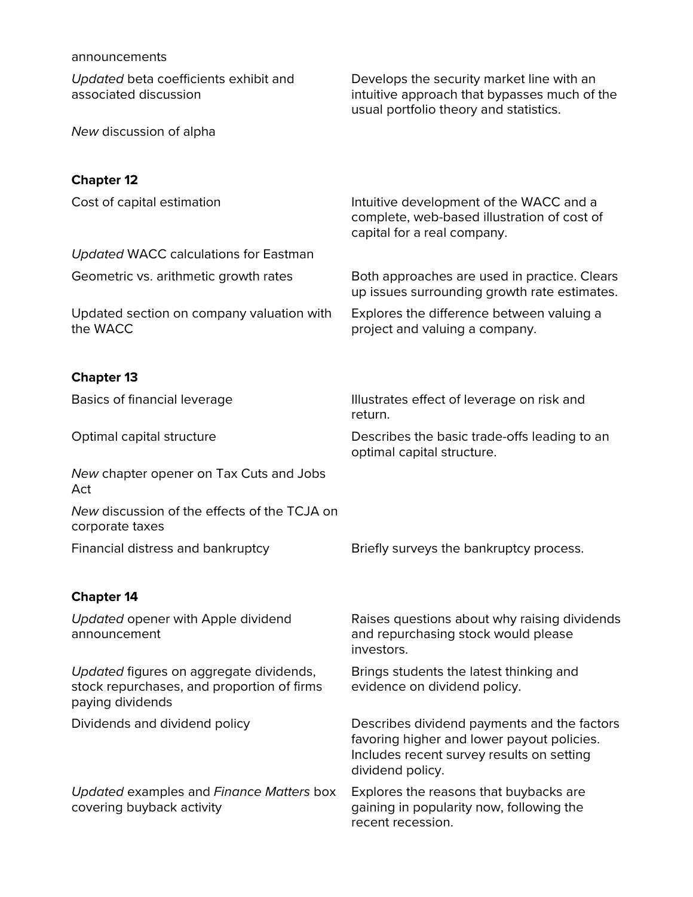| announcements                                                                                             |                                                                                                                                                            |
|-----------------------------------------------------------------------------------------------------------|------------------------------------------------------------------------------------------------------------------------------------------------------------|
| Updated beta coefficients exhibit and<br>associated discussion                                            | Develops the security market line with an<br>intuitive approach that bypasses much of the<br>usual portfolio theory and statistics.                        |
| New discussion of alpha                                                                                   |                                                                                                                                                            |
| <b>Chapter 12</b>                                                                                         |                                                                                                                                                            |
| Cost of capital estimation                                                                                | Intuitive development of the WACC and a<br>complete, web-based illustration of cost of<br>capital for a real company.                                      |
| <b>Updated WACC calculations for Eastman</b>                                                              |                                                                                                                                                            |
| Geometric vs. arithmetic growth rates                                                                     | Both approaches are used in practice. Clears<br>up issues surrounding growth rate estimates.                                                               |
| Updated section on company valuation with<br>the WACC                                                     | Explores the difference between valuing a<br>project and valuing a company.                                                                                |
| <b>Chapter 13</b>                                                                                         |                                                                                                                                                            |
| Basics of financial leverage                                                                              | Illustrates effect of leverage on risk and<br>return.                                                                                                      |
| Optimal capital structure                                                                                 | Describes the basic trade-offs leading to an<br>optimal capital structure.                                                                                 |
| New chapter opener on Tax Cuts and Jobs<br>Act                                                            |                                                                                                                                                            |
| New discussion of the effects of the TCJA on<br>corporate taxes                                           |                                                                                                                                                            |
| Financial distress and bankruptcy                                                                         | Briefly surveys the bankruptcy process.                                                                                                                    |
| <b>Chapter 14</b>                                                                                         |                                                                                                                                                            |
| Updated opener with Apple dividend<br>announcement                                                        | Raises questions about why raising dividends<br>and repurchasing stock would please<br>investors.                                                          |
| Updated figures on aggregate dividends,<br>stock repurchases, and proportion of firms<br>paying dividends | Brings students the latest thinking and<br>evidence on dividend policy.                                                                                    |
| Dividends and dividend policy                                                                             | Describes dividend payments and the factors<br>favoring higher and lower payout policies.<br>Includes recent survey results on setting<br>dividend policy. |
| Updated examples and Finance Matters box<br>covering buyback activity                                     | Explores the reasons that buybacks are<br>gaining in popularity now, following the<br>recent recession.                                                    |